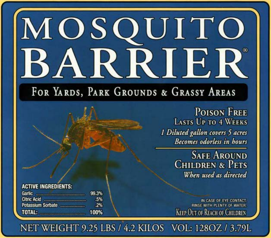## MOSQUITO BARRIER®

FOR YARDS, PARK GROUNDS & GRASSY AREAS

**POISON FREE LASTS UP TO 4 WEEKS** 1 Diluted gallon covers 5 acres **Becomes odorless in hours** 

> **SAFE AROUND CHILDREN & PETS** When used as directed

IN CASE OF EYE CONTACT. RINSE WITH PLENTY OF WATER. KEEP OUT OF REACH OF CHILDREN

NET WEIGHT 9.25 LBS / 4.2 KILOS VOL: 128OZ / 3.79L

**ACTIVE INGREDIENTS:** 

| Garlic <b>Communication</b> | 99.3 |
|-----------------------------|------|
|                             | Æ    |
| Potassium Sorbate           | z    |
| TOTAL:                      | 100  |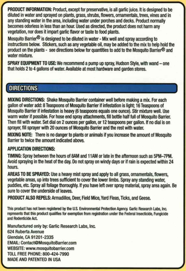PRODUCT **INFORMATION:** Product, except for preservative, is all garlic juice. It is designed to be diluted in water and sprayed on plants, grass, shrubs, flowers, ornamentals, trees, vines and in any standing water in the area, including water under porches and decks. Product nonnally becomes odorless in less than an hour. Used as directed, the product does not harm any vegetation, nor does it impart garlic flavor or taste to food plants.

Mosquito Barrier<sup>®</sup> is designed to be diluted in water - Mix well and spray according to instructions below. Stickers, such as any vegetable oil, may be added to the mix to help hold the product on the plants - see directions below for quantities to add to the Mosquito Barrier® and water mixture.

**SPRAY EQUIPMENT TO USE:** We recommend a pump up spray, Hudson Style, with wand - one that holds 2 to 4 gallons of water. Available at most hardware and garden stores.

## **DIRECTIONS**

**MIXING DIRECTIONS:** Shake Mosquito Barrier container well before making a mix. For each gallon of water add: 8 Teaspoons of Mosquito Barrier if infestation is light; 16Teaspoons of Mosquito Barrier if infestation is heavy (6 teaspoons equals one ounce). Stir mixture well. Use wann water if possible. For hose end spray attachments, fill bottle half full of Mosquito Barrier. Then fill with water. Set dial on 2 ounces per gallon, or 12 teaspoons per gallon. If no dial is on sprayer, fill sprayer with 20 ounces of Mosquito Barrier and the rest with water.

**MIXING NOTE:** There is no danger to plants or animals if you increase the amount of Mosquito Barrier to twice the amount indicated above.

## **APPLICATION DIRECTIONS:**

TIMING: Spray between the hours of 8AM and 11AM or late in the afternoon such as 5PM-7PM. Avoid spraying in the heat of the day. Do not spray on windy days or if rain is expected within 24 hours.

AREAS TO **BE SPRAYED:** Use a heavy mist spray and apply to all grass, ornamentals, flowers, vegetable areas, up into trees sufficient to cover the lower limbs. Spray any standing water, puddles, etc. Spray all foliage thoroughly. If you have left over spray material, spray area again. Be sure to cover the underside of leaves.

PRODUCT **ALSO REPELS:** Armadillos, Deer, field Mice, Yard Fleas, Ticks, and Geese.

This product has not been registered **by the** US. Environmental Protection Agent)! Ganie Research Labs, Inc. represents that this product qualifies for exemption from registration under the Federal Insecticide, Fungicide and Rodenticide Act.

Manufactured only by: Garlic Research Labs, Inc. 624 Ruberta Avenue Glendale, CA 91201-2335 EMAIL: Contact@MosquitoBarrier.com WEBSITE: www.mosquitobarrier.com TOLL FREE PHONE: 800-424-7990 MADE AND PATENTED IN USA